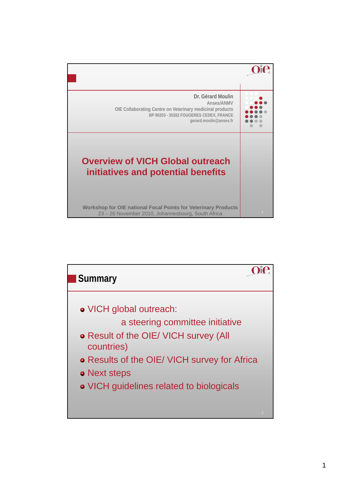

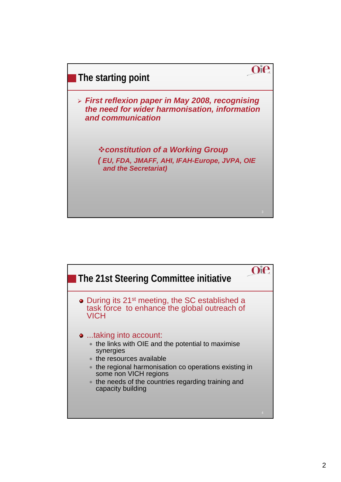

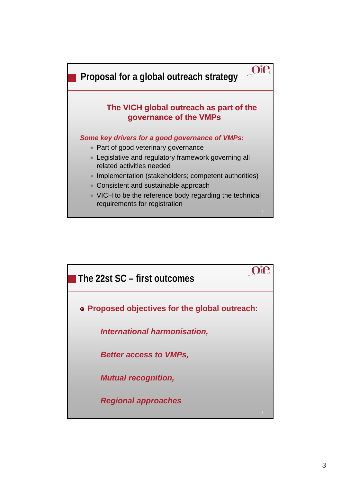

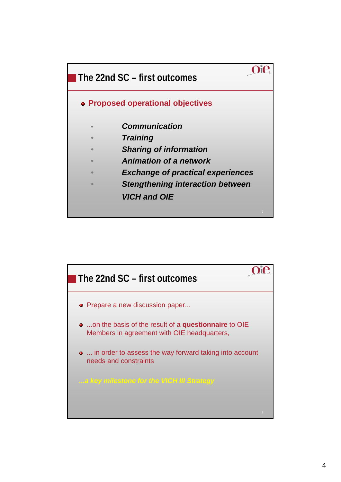

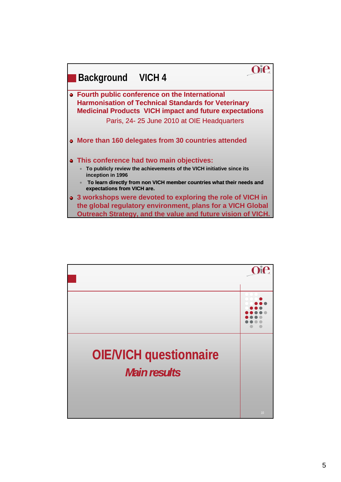

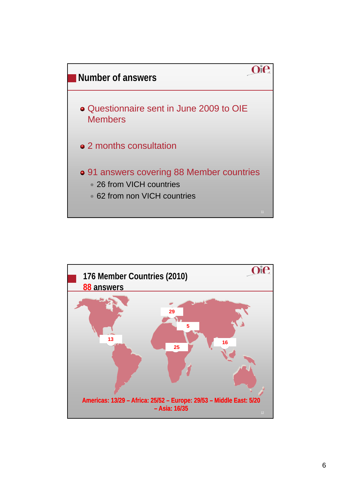

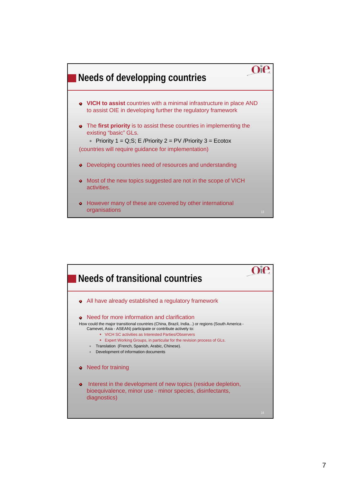

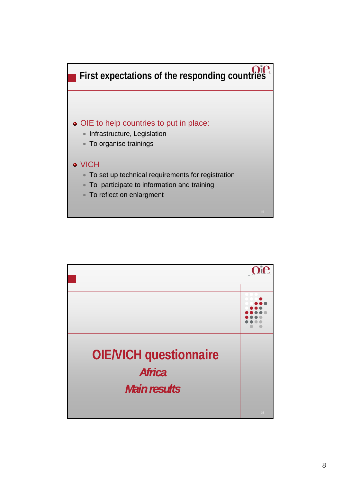

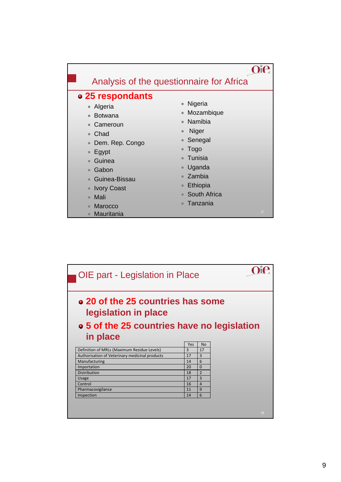|                                                                                                                                                                            | Analysis of the questionnaire for Africa                                                                           |
|----------------------------------------------------------------------------------------------------------------------------------------------------------------------------|--------------------------------------------------------------------------------------------------------------------|
| • 25 respondants<br>• Algeria<br><b>Botwana</b><br>$\bullet$<br>Cameroun<br>$\bullet$<br>Chad<br>$\bullet$<br>Dem. Rep. Congo<br>$\bullet$<br>Egypt<br>$\bullet$<br>Guinea | Nigeria<br>$\bullet$<br>Mozambique<br>Namibia<br>Niger<br>Senegal<br><b>Togo</b><br>Tunisia<br>Uganda<br>$\bullet$ |
| Gabon<br>$\bullet$<br>• Guinea-Bissau<br><b>Ivory Coast</b><br>$\bullet$<br>Mali<br>$\bullet$<br>Marocco<br>Mauritania                                                     | Zambia<br>Ethiopia<br>South Africa<br>Tanzania<br>17                                                               |

| OIE part - Legislation in Place                                  |     |                          |  |  |  |
|------------------------------------------------------------------|-----|--------------------------|--|--|--|
| <b>• 20 of the 25 countries has some</b><br>legislation in place |     |                          |  |  |  |
| • 5 of the 25 countries have no legislation                      |     |                          |  |  |  |
| in place                                                         |     |                          |  |  |  |
|                                                                  | Yes | <b>No</b>                |  |  |  |
|                                                                  |     |                          |  |  |  |
| Definition of MRLs (Maximum Residue Levels)                      | 3   | 17                       |  |  |  |
| Authorisation of Veterinary medicinal products                   | 17  | 3                        |  |  |  |
| Manufacturing                                                    | 14  | 6                        |  |  |  |
| Importation                                                      | 20  | $\Omega$                 |  |  |  |
| <b>Distribution</b>                                              | 18  | $\overline{\phantom{0}}$ |  |  |  |
| <b>Usage</b>                                                     | 17  | 3                        |  |  |  |
| Control                                                          | 16  | $\overline{4}$           |  |  |  |
| Pharmacovigilance                                                | 11  | 9                        |  |  |  |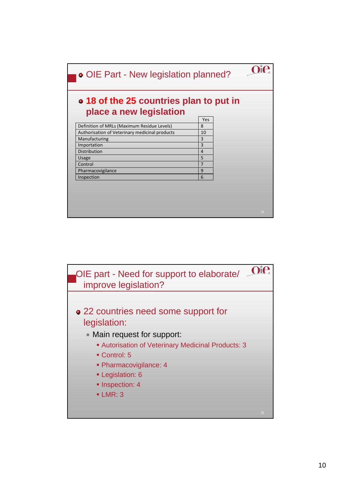

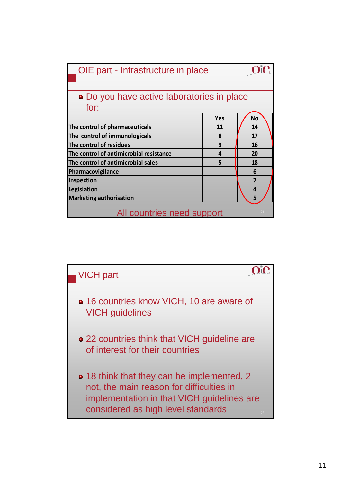| OIE part - Infrastructure in place                 |            |           |  |  |  |
|----------------------------------------------------|------------|-----------|--|--|--|
| • Do you have active laboratories in place<br>for: |            |           |  |  |  |
|                                                    | <b>Yes</b> | <b>No</b> |  |  |  |
| The control of pharmaceuticals                     | 11         | 14        |  |  |  |
| The control of immunologicals                      | 8          | 17        |  |  |  |
| The control of residues                            | 9          | 16        |  |  |  |
| The control of antimicrobial resistance            | 4          | 20        |  |  |  |
| The control of antimicrobial sales                 | 5          | 18        |  |  |  |
| Pharmacovigilance                                  |            | 6         |  |  |  |
| Inspection                                         |            | 7         |  |  |  |
| Legislation                                        |            | 4         |  |  |  |
| <b>Marketing authorisation</b>                     |            | 5         |  |  |  |
| All countries need support<br>21                   |            |           |  |  |  |

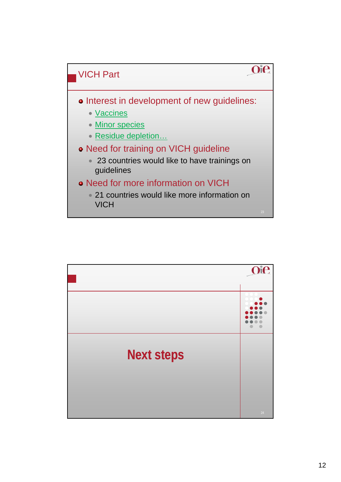

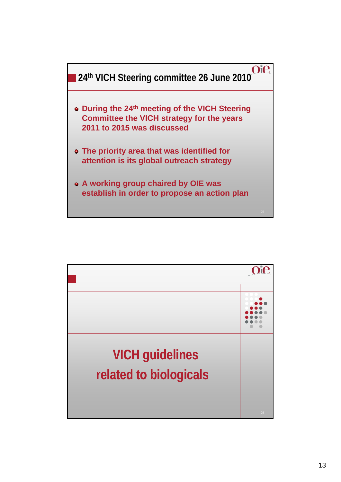

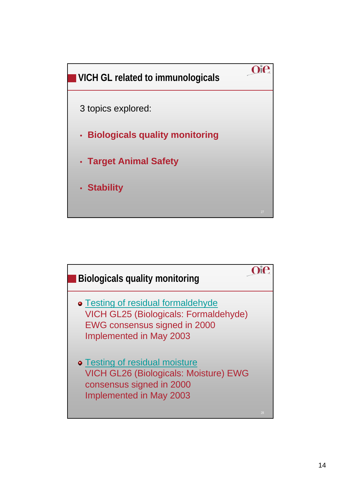

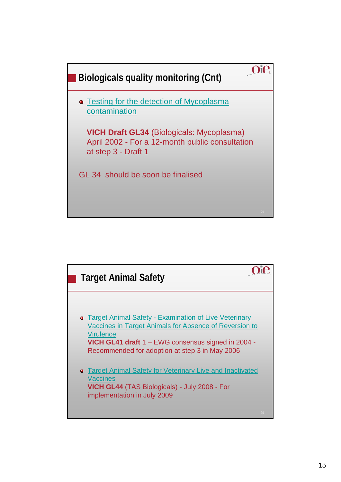